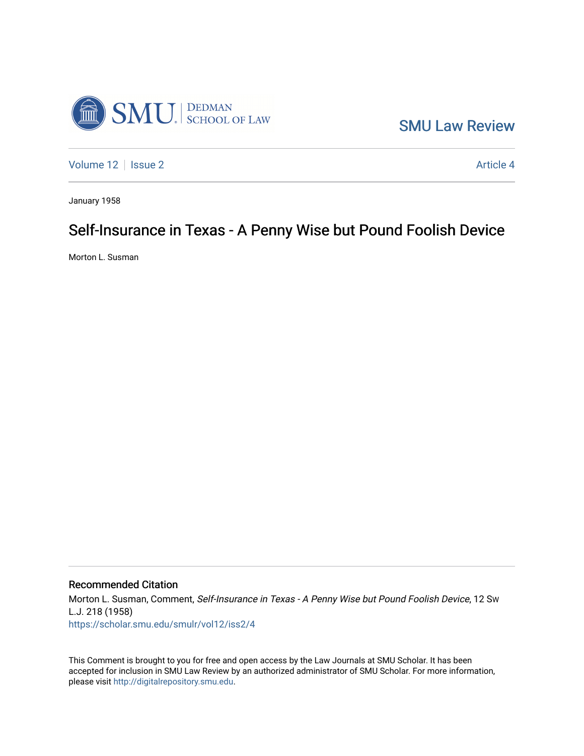

[SMU Law Review](https://scholar.smu.edu/smulr) 

[Volume 12](https://scholar.smu.edu/smulr/vol12) | [Issue 2](https://scholar.smu.edu/smulr/vol12/iss2) Article 4

January 1958

# Self-Insurance in Texas - A Penny Wise but Pound Foolish Device

Morton L. Susman

## Recommended Citation

Morton L. Susman, Comment, Self-Insurance in Texas - A Penny Wise but Pound Foolish Device, 12 SW L.J. 218 (1958) [https://scholar.smu.edu/smulr/vol12/iss2/4](https://scholar.smu.edu/smulr/vol12/iss2/4?utm_source=scholar.smu.edu%2Fsmulr%2Fvol12%2Fiss2%2F4&utm_medium=PDF&utm_campaign=PDFCoverPages) 

This Comment is brought to you for free and open access by the Law Journals at SMU Scholar. It has been accepted for inclusion in SMU Law Review by an authorized administrator of SMU Scholar. For more information, please visit [http://digitalrepository.smu.edu.](http://digitalrepository.smu.edu/)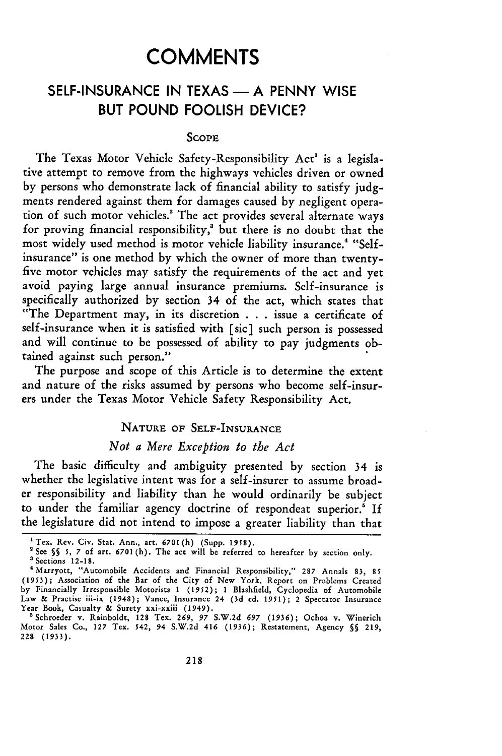# **COMMENTS**

## SELF-INSURANCE IN TEXAS — A PENNY WISE **BUT POUND FOOLISH DEVICE?**

#### **SCOPE**

The Texas Motor Vehicle Safety-Responsibility Act' is a legislative attempt to remove from the highways vehicles driven or owned by persons who demonstrate lack of financial ability to satisfy judgments rendered against them for damages caused by negligent operation of such motor vehicles.' The act provides several alternate ways for proving financial responsibility,' but there is no doubt that the most widely used method is motor vehicle liability insurance.<sup>4</sup> "Selfinsurance" is one method by which the owner of more than twentyfive motor vehicles may satisfy the requirements of the act and yet avoid paying large annual insurance premiums. Self-insurance is specifically authorized by section 34 of the act, which states that "The Department may, in its discretion **. .** . issue a certificate of self-insurance when it is satisfied with [sic] such person is possessed and will continue to be possessed of ability to pay judgments obtained against such person."

The purpose and scope of this Article is to determine the extent and nature of the risks assumed by persons who become self-insurers under the Texas Motor Vehicle Safety Responsibility Act.

#### **NATURE OF SELF-INSURANCE**

### *Not a Mere Exception to the Act*

The basic difficulty and ambiguity presented by section 34 is whether the legislative intent was for a self-insurer to assume broader responsibility and liability than he would ordinarily be subject to under the familiar agency doctrine of respondeat superior.' If the legislature did not intend to impose a greater liability than that

<sup>&#</sup>x27;Tex. Rev. Civ. Star. Ann., art. **6701(h)** (Supp. **1958).**

<sup>&</sup>lt;sup>2</sup> See §§ 5, 7 of art. 6701(h). The act will be referred to hereafter by section only.<br><sup>3</sup> Sections 12-18.<br><sup>4</sup> Marryott, "Automobile Accidents and Financial Responsibility," 287 Annals 83, 85

**<sup>(1953);</sup>** Association of the Bar of the City of New York, Report on Problems Created by Financially Irresponsible Motorists 1 **(1952); 1** Blashfield, Cyclopedia of Automobile Law **&** Practise ii-ix (1948); Vance, Insurance 24 (3d **ed.** *1951);* 2 Spectator Insurance Year Book, Casualty **&** Surety xxi-xxiii (1949).

<sup>&#</sup>x27;Schroeder v. Rainboldt, 128 Tex. *269, 97* S.W.2d *697* **(1936);** Ochoa v. Winerich Motor Sales Co., **127** Tex. 542, 94 S.W.2d 416 **(1936);** Restatement, Agency **§** 219, **228 (1933).**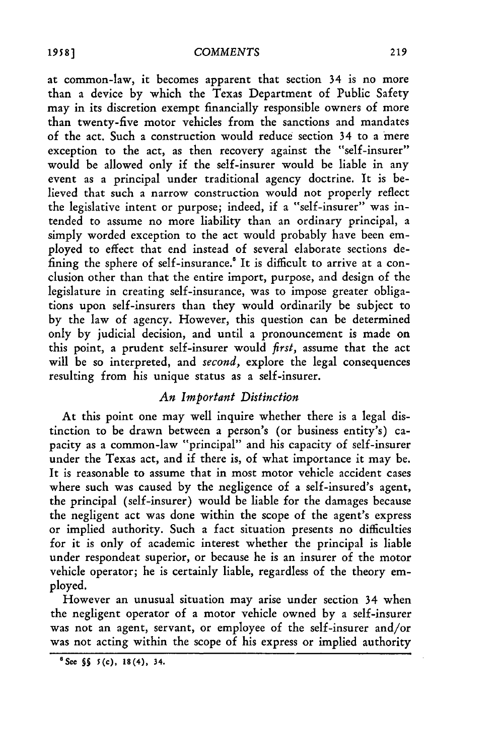#### **COMMENTS**

at common-law, it becomes apparent that section 34 is no more than a device by which the Texas Department of Public Safety may in its discretion exempt financially responsible owners of more than twenty-five motor vehicles from the sanctions and mandates of the act. Such a construction would reduce section 34 to a mere exception to the act, as then recovery against the "self-insurer" would be allowed only if the self-insurer would be liable in any event as a principal under traditional agency doctrine. It is believed that such a narrow construction would not properly reflect the legislative intent or purpose; indeed, if a "self-insurer" was intended to assume no more liability than an ordinary principal, a simply worded exception to the act would probably have been employed to effect that end instead of several elaborate sections defining the sphere of self-insurance.<sup>8</sup> It is difficult to arrive at a conclusion other than that the entire import, purpose, and design of the legislature in creating self-insurance, was to impose greater obligations upon self-insurers than they would ordinarily be subject to by the law of agency. However, this question can be determined only by judicial decision, and until a pronouncement is made on this point, a prudent self-insurer would *first,* assume that the act will be so interpreted, and *second,* explore the legal consequences resulting from his unique status as a self-insurer.

### *An Important Distinction*

At this point one may well inquire whether there is a legal distinction to be drawn between a person's (or business entity's) capacity as a common-law "principal" and his capacity of self-insurer under the Texas act, and if there is, of what importance it may be. It is reasonable to assume that in most motor vehicle accident cases where such was caused by the negligence of a self-insured's agent, the principal (self-insurer) would be liable for the damages because the negligent act was done within the scope of the agent's express or implied authority. Such a fact situation presents no difficulties for it is only of academic interest whether the principal is liable under respondeat superior, or because he is an insurer of the motor vehicle operator; he is certainly liable, regardless of the theory employed.

However an unusual situation may arise under section 34 when the negligent operator of a motor vehicle owned **by** a self-insurer was not an agent, servant, or employee of the self-insurer and/or was not acting within the scope of his express or implied authority

<sup>&#</sup>x27;See **§** 5(c), **18(4), 34.**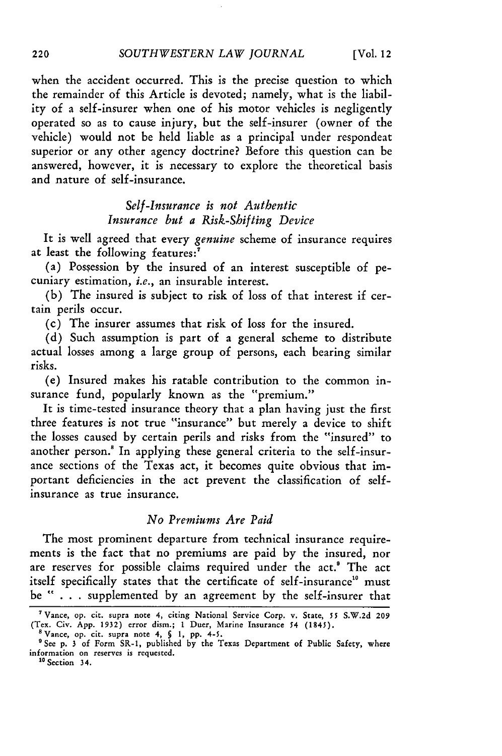when the accident occurred. This is the precise question to which the remainder of this Article is devoted; namely, what is the liability of a self-insurer when one of his motor vehicles is negligently operated so as to cause injury, but the self-insurer (owner of the vehicle) would not be held liable as a principal under respondeat superior or any other agency doctrine? Before this question can be answered, however, it is necessary to explore the theoretical basis and nature of self-insurance.

> *Self-Insurance is not Authentic Insurance but a Risk-Shifting Device*

It is well agreed that every *genuine* scheme of insurance requires at least the following features:'

(a) Possession by the insured of an interest susceptible of pecuniary estimation, *i.e.,* an insurable interest.

(b) The insured is subject to risk of loss of that interest if certain perils occur.

(c) The insurer assumes that risk of loss for the insured.

(d) Such assumption is part of a general scheme to distribute actual losses among a large group of persons, each bearing similar risks.

(e) Insured makes his ratable contribution to the common insurance fund, popularly known as the "premium."

It is time-tested insurance theory that a plan having just the first three features is not true "insurance" but merely a device to shift the losses caused by certain perils and risks from the "insured" to another person.' In applying these general criteria to the self-insurance sections of the Texas act, it becomes quite obvious that important deficiencies in the act prevent the classification of selfinsurance as true insurance.

#### *No Premiums Are Paid*

The most prominent departure from technical insurance requirements is the fact that no premiums are paid by the insured, nor are reserves for possible claims required under the act.' The act itself specifically states that the certificate of self-insurance" must be " . . . supplemented by an agreement by the self-insurer that

<sup>&#</sup>x27;Vance, op. cit. supra note 4, citing National Service Corp. v. State, 55 S.W.2d **209** (Tex. Civ. App. 1932) error dism.; **1** Duer, Marine Insurance 54 (1845).

<sup>&</sup>lt;sup>8</sup> Vance, op. cit. supra note 4, § 1, pp. 4-5.<br><sup>9</sup> See p. 3 of Form SR-1, published by the Texas Department of Public Safety, where information on reserves is requested.

**<sup>&</sup>quot;** Section 34.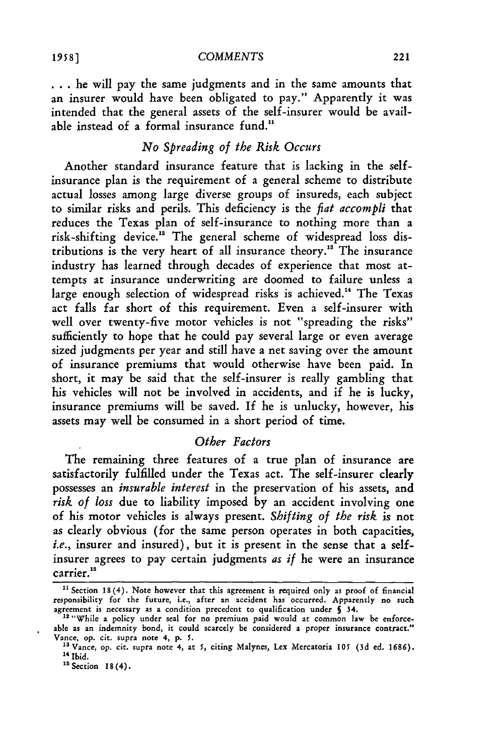**...** he will pay the same judgments and in the same amounts that an insurer would have been obligated to pay." Apparently it was intended that the general assets of the self-insurer would be available instead of a formal insurance fund.<sup>11</sup>

## *No Spreading of the Risk Occurs*

Another standard insurance feature that is lacking in the selfinsurance plan is the requirement of a general scheme to distribute actual losses among large diverse groups of insureds, each subject to similar risks and perils. This deficiency is the *fiat accompli* that reduces the Texas plan of self-insurance to nothing more than a risk-shifting device.<sup>12</sup> The general scheme of widespread loss distributions is the very heart of all insurance theory."3 The insurance industry has learned through decades of experience that most attempts at insurance underwriting are doomed to failure unless a large enough selection of widespread risks is achieved.<sup>14</sup> The Texas act falls far short of this requirement. Even a self-insurer with well over twenty-five motor vehicles is not "spreading the risks" sufficiently to hope that he could pay several large or even average sized judgments per year and still have a net saving over the amount of insurance premiums that would otherwise have been paid. In short, it may be said that the self-insurer is really gambling that his vehicles will not be involved in accidents, and if he is lucky, insurance premiums will be saved. If he is unlucky, however, his assets may well be consumed in a short period of time.

## *Other Factors*

The remaining three features of a true plan of insurance are satisfactorily fulfilled under the Texas act. The self-insurer clearly possesses an *insurable interest* in the preservation of his assets, and *risk of loss* due to liability imposed by an accident involving one of his motor vehicles is always present. *Shifting of the risk* is not as clearly obvious (for the same person operates in both capacities, *i.e.,* insurer and insured), but it is present in the sense that a selfinsurer agrees to pay certain judgments *as if* he were an insurance carrier.<sup>15</sup>

<sup>&</sup>lt;sup>11</sup> Section 18(4). Note however that this agreement is required only as proof of financial responsibility for the future, i.e., after an accident has occurred. Apparently no such agreement is necessary as a condition precedent to qualification under § 34. 12 "While a policy under seal for no premium paid would at common law be enforce-

able as an indemnity bond, it could scarcely be considered a proper insurance contract." Vance, op. cit. supra note 4, p. 5.

<sup>&</sup>lt;sup>13</sup> Vance, op. cit. supra note 4, at 5, citing Malynes, Lex Mercatoria 105 (3d ed. 1686). <sup>14</sup> Ibid.

**<sup>1</sup>s** Section 18 (4).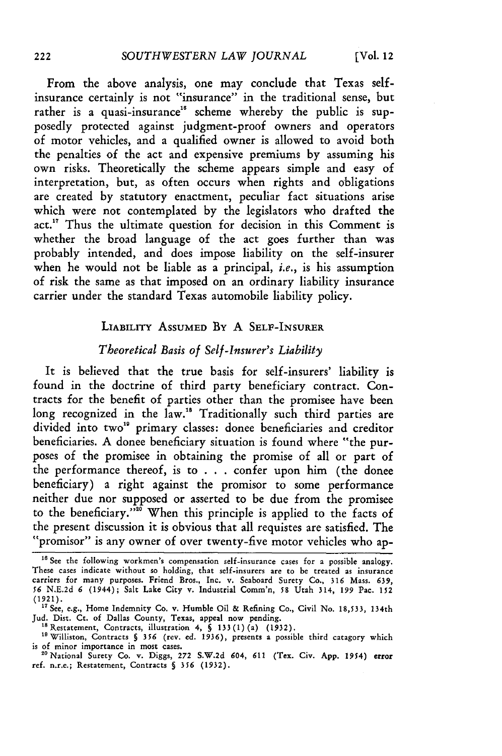From the above analysis, one may conclude that Texas selfinsurance certainly is not "insurance" in the traditional sense, but rather is a quasi-insurance<sup>16</sup> scheme whereby the public is supposedly protected against judgment-proof owners and operators of motor vehicles, and a qualified owner is allowed to avoid both the penalties of the act and expensive premiums by assuming his own risks. Theoretically the scheme appears simple and easy of interpretation, but, as often occurs when rights and obligations are created by statutory enactment, peculiar fact situations arise which were not contemplated by the legislators who drafted the act.<sup>17</sup> Thus the ultimate question for decision in this Comment is whether the broad language of the act goes further than was probably intended, and does impose liability on the self-insurer when he would not be liable as a principal, *i.e.,* is his assumption of risk the same as that imposed on an ordinary liability insurance carrier under the standard Texas automobile liability policy.

#### LIABILITY **ASSUMED By** A **SELF-INSURER**

## *Theoretical Basis of Self-Insurer's Liability*

It is believed that the true basis for self-insurers' liability is found in the doctrine of third party beneficiary contract. Contracts for the benefit of parties other than the promisee have been long recognized in the law.<sup>18</sup> Traditionally such third parties are divided into two"9 primary classes: donee beneficiaries and creditor beneficiaries. A donee beneficiary situation is found where "the purposes of the promisee in obtaining the promise of all or part of the performance thereof, is to . . . confer upon him (the donee beneficiary) a right against the promisor to some performance neither due nor supposed or asserted to be due from the promisee to the beneficiary."" When this principle is applied to the facts of the present discussion it is obvious that all requistes are satisfied. The "promisor" is any owner of over twenty-five motor vehicles who ap-

<sup>18</sup> Restatement, Contracts, illustration 4, § 133(1)(a) (1932).<br><sup>19</sup> Williston, Contracts § 356 (rev. ed. 1936), presents a possible third catagory which is of minor importance in most cases.

<sup>&</sup>lt;sup>16</sup> See the following workmen's compensation self-insurance cases for a possible analogy. These cases indicate without so holding, that self-insurers are to be treated as insurance carriers for many purposes. Friend Bros., Inc. v. Seaboard Surety Co., **316** Mass. 639, **56** N.E.2d *6* (1944); Salt Lake City v. Industrial Comm'n, 58 Utah 314, 199 Pac. **152**

<sup>(1921).&</sup>lt;br><sup>17</sup> See, e.g., Home Indemnity Co. v. Humble Oil & Refining Co., Civil No. 18,533, 134th<br>Jud. Dist. Ct. of Dallas County, Texas, appeal now pending.<br><sup>18</sup> Restatement, Contracts, illustration 4, § 133(1)(a) (1932).

<sup>&</sup>quot;National Surety Co. v. Diggs, 272 S.W.2d 604, *611* (Tex. Civ. App. 1954) error ref. n.r.e.; Restatement, Contracts **§** 356 (1932).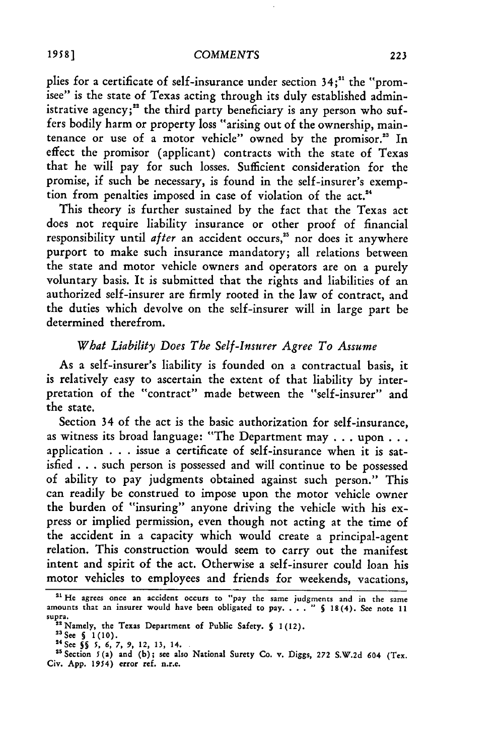#### *COMMENTS*

plies for a certificate of self-insurance under section 34;<sup>21</sup> the "promisee" is the state of Texas acting through its duly established administrative agency;<sup>22</sup> the third party beneficiary is any person who suffers bodily harm or property loss "arising out of the ownership, maintenance or use of a motor vehicle" owned by the promisor." In effect the promisor (applicant) contracts with the state of Texas that he will pay for such losses. Sufficient consideration for the promise, if such be necessary, is found in the self-insurer's exemption from penalties imposed in case of violation of the act.<sup>24</sup>

This theory is further sustained by the fact that the Texas act does not require liability insurance or other proof of financial responsibility until after an accident occurs,<sup>25</sup> nor does it anywhere purport to make such insurance mandatory; all relations between the state and motor vehicle owners and operators are on a purely voluntary basis. It is submitted that the rights and liabilities of an authorized self-insurer are firmly rooted in the law of contract, and the duties which devolve on the self-insurer will in large part be determined therefrom.

#### *What Liability Does The Self-Insurer Agree To Assume*

As a self-insurer's liability is founded on a contractual basis, it is relatively easy to ascertain the extent of that liability by interpretation of the "contract" made between the "self-insurer" and the state.

Section 34 of the act is the basic authorization for self-insurance, as witness its broad language: "The Department may ..**.**upon **...** application . . . issue a certificate of self-insurance when it is satisfied . . . such person is possessed and will continue to be possessed of ability to pay judgments obtained against such person." This can readily be construed to impose upon the motor vehicle owner the burden of "insuring" anyone driving the vehicle with his express or implied permission, even though not acting at the time of the accident in a capacity which would create a principal-agent relation. This construction would seem to carry out the manifest intent and spirit of the act. Otherwise a self-insurer could loan his motor vehicles to employees and friends for weekends, vacations,

<sup>2&#</sup>x27; He agrees once **an** accident occurs **to** "pay the same judgments **and** in the same amounts that an insurer would have been obligated to pay, . . . "  $\binom{18}{4}$ . See note 1 sup<mark>ra</mark>.<br>12 ج

**<sup>2</sup>** Namely, **the** Texas Department **of** Public Safety. **S** 1(12). **<sup>3</sup>**

<sup>23</sup> See § 1(10).<br>
<sup>24</sup> See § 5 (10).<br>
<sup>24</sup> See § 5 (5, 6, 7, 9, 12, 13, 14.<br>
<sup>25</sup> Section 5(a) and (b); see also National Surety Co. v. Diggs, 272 S.W.2d 604 (Tex<br>
Civ. App. 1954) error ref. n.r.e.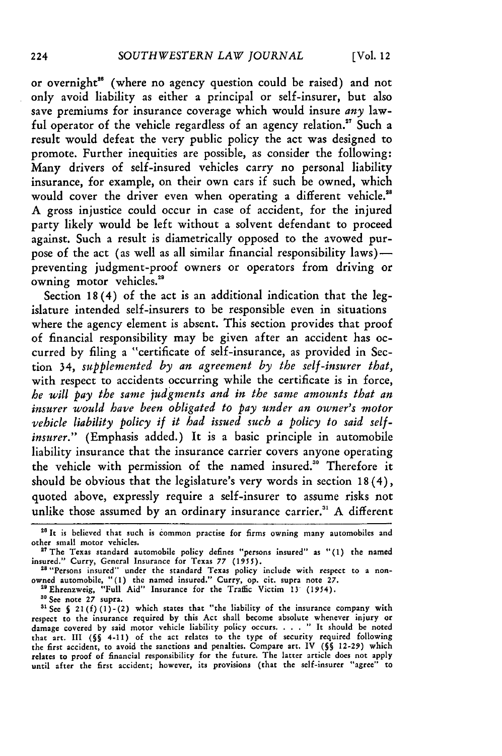or overnight<sup>26</sup> (where no agency question could be raised) and not only avoid liability as either a principal or self-insurer, but also save premiums for insurance coverage which would insure *any* lawful operator of the vehicle regardless of an agency relation.<sup>27</sup> Such a result would defeat the very public policy the act was designed to promote. Further inequities are possible, as consider the following: Many drivers of self-insured vehicles carry no personal liability insurance, for example, on their own cars if such be owned, which would cover the driver even when operating a different vehicle.<sup>28</sup> **A** gross injustice could occur in case of accident, for the injured party likely would be left without a solvent defendant to proceed against. Such a result is diametrically opposed to the avowed purpose of the act (as well as all similar financial responsibility  $laws$ ) preventing judgment-proof owners or operators from driving or owning motor vehicles.<sup>21</sup>

Section **18** (4) of the act is an additional indication that the legislature intended self-insurers to be responsible even in situations where the agency element is absent. This section provides that proof of financial responsibility may be given after an accident has occurred **by** filing a "certificate of self-insurance, as provided in Section 34, *supplemented by an agreement by the self-insurer that,* with respect to accidents occurring while the certificate is in force, *he will pay the same judgments and in the same amounts that an insurer would have been obligated to pay under an owner's motor vehicle liability policy if it had issued such a policy to said selfinsurer."* (Emphasis added.) It is a basic principle in automobile liability insurance that the insurance carrier covers anyone operating the vehicle with permission of the named insured.<sup>30</sup> Therefore it should be obvious that the legislature's very words in section **18** (4), quoted above, expressly require a self-insurer to assume risks not unlike those assumed **by** an ordinary insurance carrier." **A** different

<sup>30</sup> See note 27 supra.

<sup>&</sup>lt;sup>26</sup> It is believed that such is common practise for firms owning many automobiles and other small motor vehicles. **2?The** Texas standard automobile policy defines "persons insured" as **"(1)** the named

insured." Curry, General Insurance for Texas 77 (1955).<br><sup>28 "</sup>Persons insured" under the standard Texas policy include with respect to a non-

owned automobile, **"(1)** the named insured." Curry, op. cit. supra note **27.** <sup>2</sup> "Ehrenzweig, "Full Aid" Insurance for the Traffic Victim **13** (1954).

**<sup>31</sup>See S 21(f)** (1)-(2) which states that "the liability of the insurance company with respect to the insurance required **by** this Act shall become absolute whenever injury or damage covered **by** said motor vehicle liability policy occurs **.... "** It should be noted that art. III **(§§** 4-11) of the act relates to the type of security required following the first accident, to avoid the sanctions and penalties. Compare art. IV **(5§ 12-29)** which relates to proof of financial responsibility for the future. The latter article does not apply until after the first accident; however, its provisions (that the self-insurer "agree" to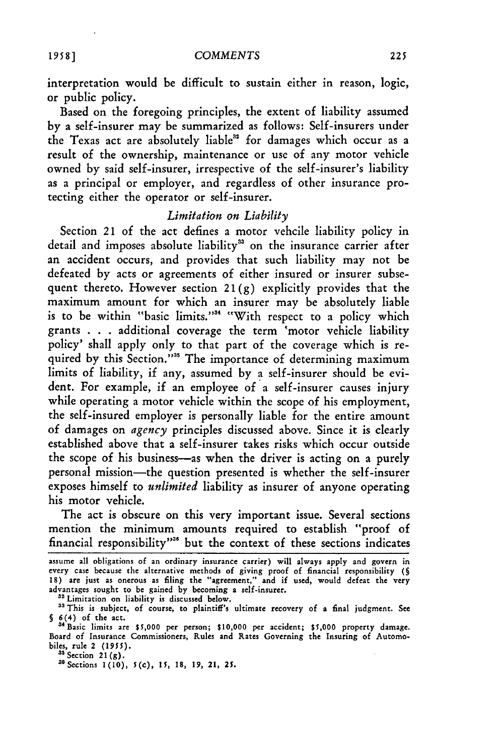interpretation would be difficult to sustain either in reason, logic, or public policy.

Based on the foregoing principles, the extent of liability assumed by a self-insurer may be summarized as follows: Self-insurers under the Texas act are absolutely liable" for damages which occur as a result of the ownership, maintenance or use of any motor vehicle owned by said self-insurer, irrespective of the self-insurer's liability as a principal or employer, and regardless of other insurance protecting either the operator or self-insurer.

#### *Limitation on Liability*

Section 21 of the act defines a motor vehcile liability policy in detail and imposes absolute liability<sup>33</sup> on the insurance carrier after an accident occurs, and provides that such liability may not be defeated by acts or agreements of either insured or insurer subsequent thereto. However section  $21(g)$  explicitly provides that the maximum amount for which an insurer may be absolutely liable is to be within "basic limits."<sup>34</sup> "With respect to a policy which grants . . . additional coverage the term 'motor vehicle liability policy' shall apply only to that part of the coverage which is required by this Section."<sup>35</sup> The importance of determining maximum limits of liability, if any, assumed by a self-insurer should be evident. For example, if an employee of a self-insurer causes injury while operating a motor vehicle within the scope of his employment, the self-insured employer is personally liable for the entire amount of damages on *agency* principles discussed above. Since it is clearly established above that a self-insurer takes risks which occur outside the scope of his business-as when the driver is acting on a purely personal mission-the question presented is whether the self-insurer exposes himself to *unlimited* liability as insurer of anyone operating his motor vehicle.

The act is obscure on this very important issue. Several sections mention the minimum amounts required to establish "proof of financial responsibility"<sup>38</sup> but the context of these sections indicates

32 Limitation on liability is discussed below.

assume all obligations of an ordinary insurance carrier) will always apply and govern in every case because the alternative methods of giving proof of financial responsibility **(§** 18) are just as onerous as filing the "agreement," and if used, would defeat the very advantages sought to be gained by becoming a self-insurer.

<sup>&</sup>lt;sup>33</sup> This is subject, of course, to plaintiff's ultimate recovery of a final judgment. See **§** 6(4) of the act.

<sup>&</sup>quot;4Basic limits are **\$5,000** per person; **\$10,000** per accident; **\$5,000** property damage. Board of Insurance Commissioners, Rules and Rates Governing the Insuring of Automobiles, rule 2 *(1955).*

**<sup>31</sup>**Section 21 (g).

<sup>3</sup>Sections 1(10), 5(c), *15,* 18, 19, 21, 25.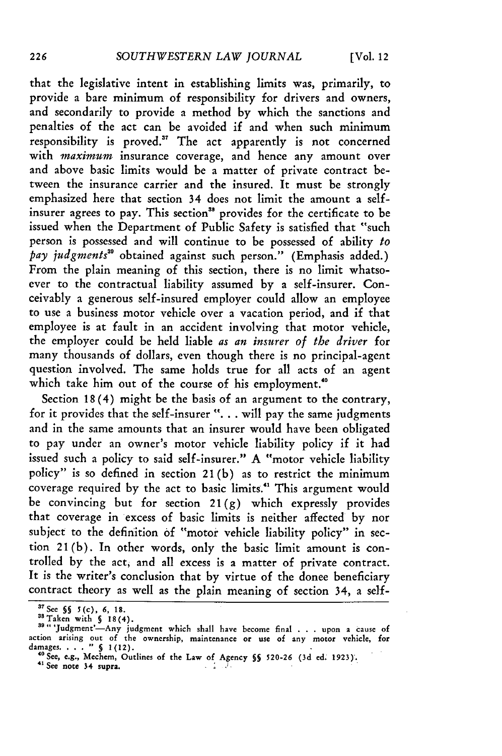that the legislative intent in establishing limits was, primarily, to provide a bare minimum of responsibility for drivers and owners, and secondarily to provide a method by which the sanctions and penalties of the act can be avoided if and when such minimum responsibility is proved." The act apparently is not concerned with *maximum* insurance coverage, and hence any amount over and above basic limits would be a matter of private contract between the insurance carrier and the insured. It must be strongly emphasized here that section 34 does not limit the amount a selfinsurer agrees to pay. This section" provides for the certificate to be issued when the Department of Public Safety is satisfied that "such person is possessed and will continue to be possessed of ability *to pay judgments"* obtained against such person." (Emphasis added.) From the plain meaning of this section, there is no limit whatsoever to the contractual liability assumed by a self-insurer. Conceivably a generous self-insured employer could allow an employee to use a business motor vehicle over a vacation period, and if that employee is at fault in an accident involving that motor vehicle, the employer could be held liable *as an insurer of the driver* for many thousands of dollars, even though there is no principal-agent question involved. The same holds true for all acts of an agent which take him **out of** the course of his employment."

Section 18 (4) might be the basis of an argument to the contrary, for it provides that the self-insurer ". . . will pay the same judgments and in the same amounts that an insurer would have been obligated to pay under an owner's motor vehicle liability policy if it had issued such a policy to said self-insurer." A "motor vehicle liability policy" is so defined in section 21 (b) as to restrict the minimum coverage required by the act to basic limits.<sup>41</sup> This argument would be convincing but for section  $21(g)$  which expressly provides that coverage in excess of basic limits is neither affected by nor subject to the definition **of** "motor vehicle liability policy" in section 21(b). In other words, only the basic limit amount is controlled by the act, and all excess is a matter of private contract. It is the writer's conclusion that by virtue of the donee beneficiary contract theory as well as the plain meaning of section 34, a self-

**<sup>3</sup> 7 See §§ 5(c), 6, 18.**

<sup>&</sup>quot;STaken with **§** 18(4). **39,,** 'Judgment'--Any judgment which shall have become final . . . upon **a** cause **of** action arising out of the ownership, maintenance or use of any motor vehicle, for<br>damages....." § 1(12).

**<sup>&#</sup>x27;See, e.g., Mechem,** Outlines **of the Law of Agency §§ 520-26 (3d ed. 1923).** <sup>41</sup>**See** note **34 supra.**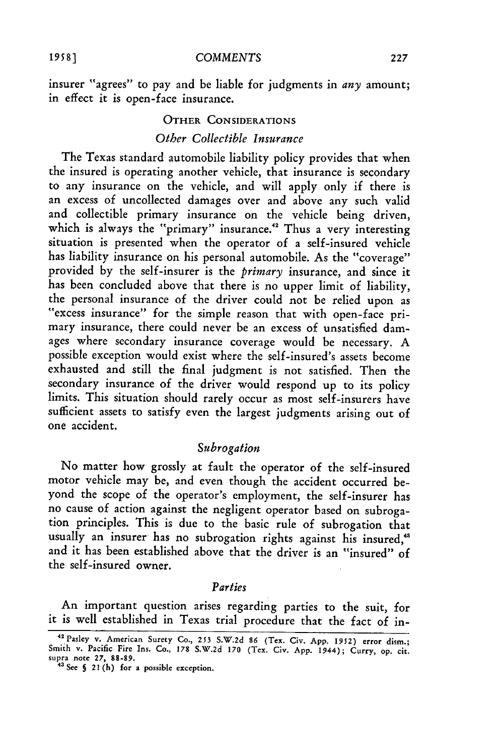insurer "agrees" to pay and be liable for judgments in *any* amount; in effect it is open-face insurance.

## OTHER **CONSIDERATIONS** *Other Collectible Insurance*

The Texas standard automobile liability policy provides that when the insured is operating another vehicle, that insurance is secondary to any insurance on the vehicle, and will apply only if there is an excess of uncollected damages over and above any such valid and collectible primary insurance on the vehicle being driven, which is always the "primary" insurance.<sup>42</sup> Thus a very interesting situation is presented when the operator of a self-insured vehicle has liability insurance on his personal automobile. As the "coverage" provided **by** the self-insurer is the *primary* insurance, and since it has been concluded above that there is no upper limit of liability, the personal insurance of the driver could not be relied upon as "excess insurance" for the simple reason that with open-face primary insurance, there could never be an excess of unsatisfied damages where secondary insurance coverage would be necessary. A possible exception would exist where the self-insured's assets become exhausted and still the final judgment is not satisfied. Then the secondary insurance of the driver would respond up to its policy limits. This situation should rarely occur as most self-insurers have sufficient assets to satisfy even the largest judgments arising out of one accident.

#### *Subrogation*

No matter how grossly at fault the operator of the self-insured motor vehicle may be, and even though the accident occurred beyond the scope of the operator's employment, the self-insurer has no cause of action against the negligent operator based on subrogation principles. This is due to the basic rule of subrogation that usually an insurer has no subrogation rights against his insured,<sup>43</sup> and it has been established above that the driver is an "insured" of the self-insured owner.

#### *Parties*

An important question arises regarding parties to the suit, for it is well established in Texas trial procedure that the fact of in-

**<sup>42</sup>**Pasley **v.** American Surety **Co., 253 S.W.2d 86 (Tex.** Civ. **App. 1952) error** dism.; Smith **v.** Pacific **Fire Ins.** Co., **178 S.W.2d 170 (Tex. Civ. App. 1944);** Curry, **op.** cit. supra note  $27$ ,  $88-89$ .<br>
<sup>43</sup> See § 21 (h) for a possible exception.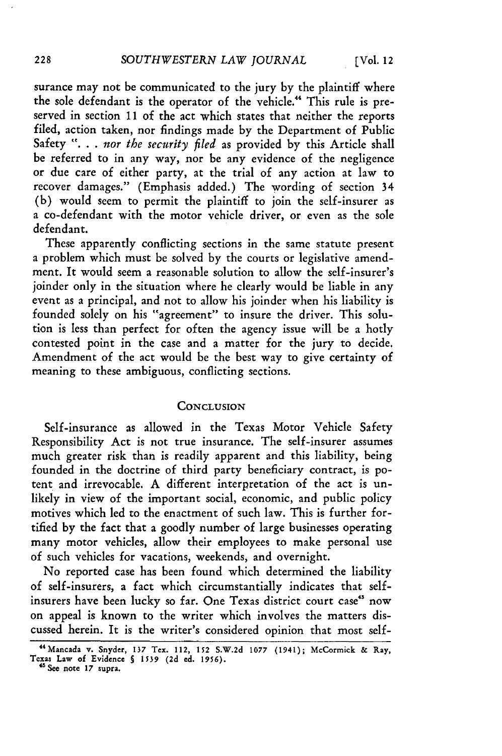surance may not be communicated to the jury by the plaintiff where the sole defendant is the operator of the vehicle." This rule is preserved in section 11 of the act which states that neither the reports filed, action taken, nor findings made by the Department of Public Safety **". . .** *nor the security filed* as provided by this Article shall be referred to in any way, nor be any evidence of the negligence or due care of either party, at the trial of any action at law to recover damages." (Emphasis added.) The wording of section 34 (b) would seem to permit the plaintiff to join the self-insurer as a co-defendant with the motor vehicle driver, or even as the sole defendant.

These apparently conflicting sections in the same statute present a problem which must be solved by the courts or legislative amendment. It would seem a reasonable solution to allow the self-insurer's joinder only in the situation where he clearly would be liable in any event as a principal, and not to allow his joinder when his liability is founded solely on his "agreement" to insure the driver. This solution is less than perfect for often the agency issue will be a hotly contested point in the case and a matter for the jury to decide. Amendment of the act would be the best way to give certainty of meaning to these ambiguous, conflicting sections.

#### **CONCLUSION**

Self-insurance as allowed in the Texas Motor Vehicle Safety Responsibility Act is not true insurance. The self-insurer assumes much greater risk than is readily apparent and this liability, being founded in the doctrine of third party beneficiary contract, is potent and irrevocable. A different interpretation of the act is unlikely in view of the important social, economic, and public policy motives which led to the enactment of such law. This is further fortified by the fact that a goodly number of large businesses operating many motor vehicles, allow their employees to make personal use of such vehicles for vacations, weekends, and overnight.

No reported case has been found which determined the liability of self-insurers, a fact which circumstantially indicates that selfinsurers have been lucky so far. One Texas district court case<sup>45</sup> now on appeal is known to the writer which involves the matters discussed herein. It is the writer's considered opinion that most self-

<sup>44</sup>Mancada **v. Snyder, 137 Tex.** 112, **152 S.W.2d 1077 (1941); McCormick &** Ray, **Texas Law of Evidence S 1539 (2d ed. 1956).**

**<sup>4&#</sup>x27; See note 17** supra.